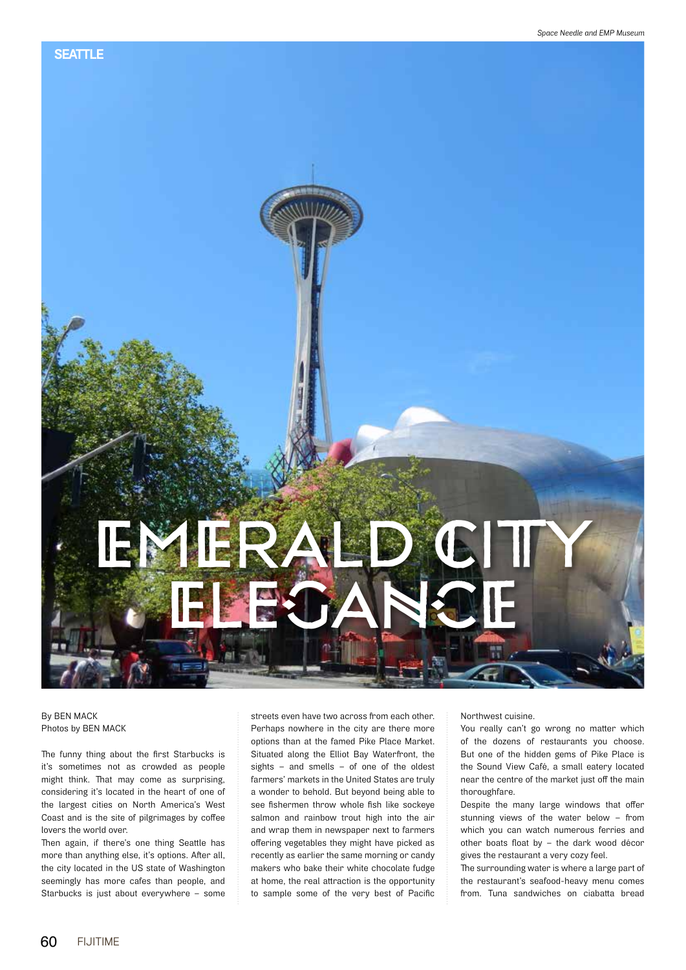## EMERALD CITY EGANCE

By BEN MACK Photos by BEN MACK

The funny thing about the first Starbucks is it's sometimes not as crowded as people might think. That may come as surprising, considering it's located in the heart of one of the largest cities on North America's West Coast and is the site of pilgrimages by coffee lovers the world over.

Then again, if there's one thing Seattle has more than anything else, it's options. After all, the city located in the US state of Washington seemingly has more cafes than people, and Starbucks is just about everywhere – some streets even have two across from each other. Perhaps nowhere in the city are there more options than at the famed Pike Place Market. Situated along the Elliot Bay Waterfront, the sights – and smells – of one of the oldest farmers' markets in the United States are truly a wonder to behold. But beyond being able to see fishermen throw whole fish like sockeye salmon and rainbow trout high into the air and wrap them in newspaper next to farmers offering vegetables they might have picked as recently as earlier the same morning or candy makers who bake their white chocolate fudge at home, the real attraction is the opportunity to sample some of the very best of Pacific Northwest cuisine.

You really can't go wrong no matter which of the dozens of restaurants you choose. But one of the hidden gems of Pike Place is the Sound View Café, a small eatery located near the centre of the market just off the main thoroughfare.

Despite the many large windows that offer stunning views of the water below – from which you can watch numerous ferries and other boats float by – the dark wood décor gives the restaurant a very cozy feel.

The surrounding water is where a large part of the restaurant's seafood-heavy menu comes from. Tuna sandwiches on ciabatta bread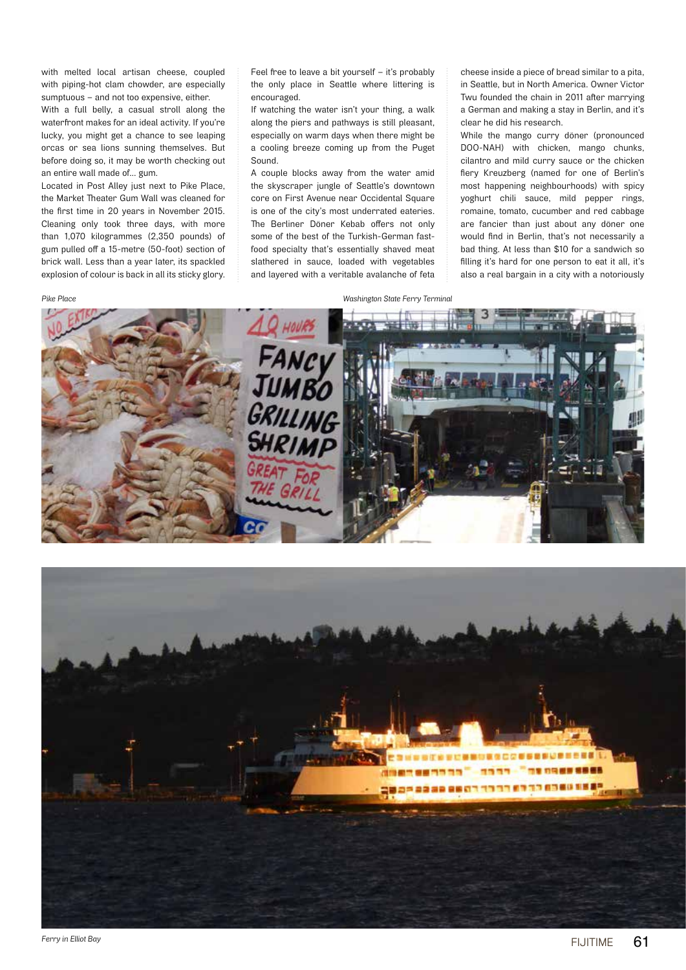with melted local artisan cheese, coupled with piping-hot clam chowder, are especially sumptuous – and not too expensive, either. With a full belly, a casual stroll along the waterfront makes for an ideal activity. If you're lucky, you might get a chance to see leaping orcas or sea lions sunning themselves. But before doing so, it may be worth checking out an entire wall made of… gum.

Located in Post Alley just next to Pike Place, the Market Theater Gum Wall was cleaned for the first time in 20 years in November 2015. Cleaning only took three days, with more than 1,070 kilogrammes (2,350 pounds) of gum pulled off a 15-metre (50-foot) section of brick wall. Less than a year later, its spackled explosion of colour is back in all its sticky glory.

Feel free to leave a bit yourself – it's probably the only place in Seattle where littering is encouraged.

If watching the water isn't your thing, a walk along the piers and pathways is still pleasant, especially on warm days when there might be a cooling breeze coming up from the Puget Sound.

A couple blocks away from the water amid the skyscraper jungle of Seattle's downtown core on First Avenue near Occidental Square is one of the city's most underrated eateries. The Berliner Döner Kebab offers not only some of the best of the Turkish-German fastfood specialty that's essentially shaved meat slathered in sauce, loaded with vegetables and layered with a veritable avalanche of feta cheese inside a piece of bread similar to a pita, in Seattle, but in North America. Owner Victor Twu founded the chain in 2011 after marrying a German and making a stay in Berlin, and it's clear he did his research.

While the mango curry döner (pronounced DOO-NAH) with chicken, mango chunks, cilantro and mild curry sauce or the chicken fiery Kreuzberg (named for one of Berlin's most happening neighbourhoods) with spicy yoghurt chili sauce, mild pepper rings, romaine, tomato, cucumber and red cabbage are fancier than just about any döner one would find in Berlin, that's not necessarily a bad thing. At less than \$10 for a sandwich so filling it's hard for one person to eat it all, it's also a real bargain in a city with a notoriously

*Pike Place Washington State Ferry Terminal*



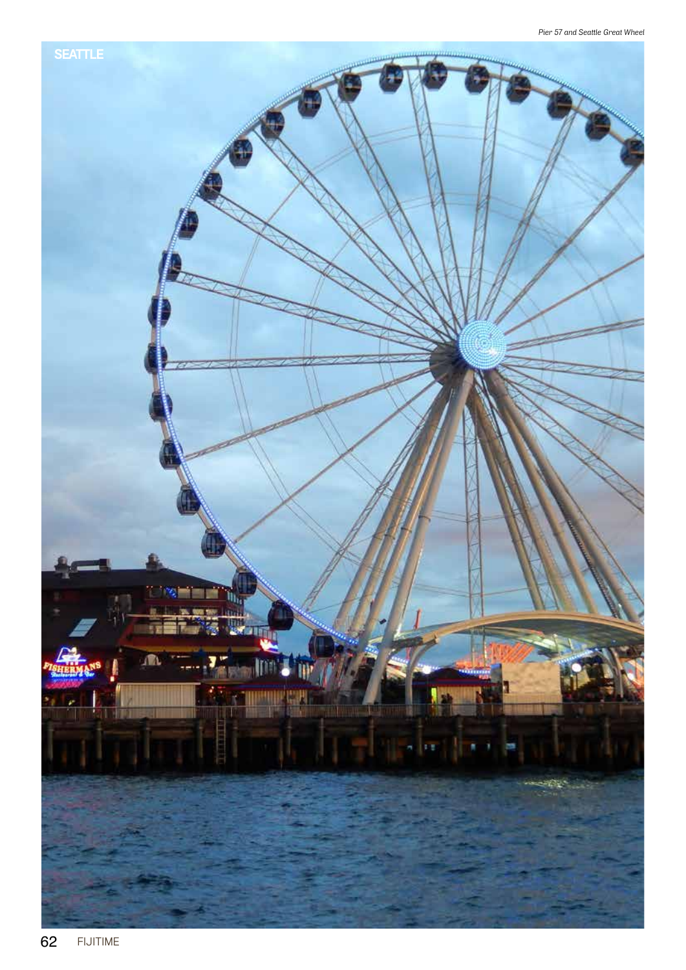